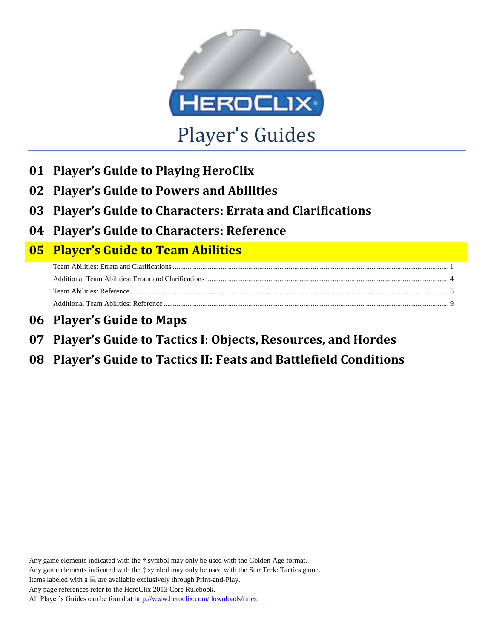

- **01 Player's Guide to Playing HeroClix**
- **02 Player's Guide to Powers and Abilities**
- **03 Player's Guide to Characters: Errata and Clarifications**
- **04 Player's Guide to Characters: Reference**

# **05 Player's Guide to Team Abilities**

- **06 Player's Guide to Maps**
- **07 Player's Guide to Tactics I: Objects, Resources, and Hordes**

# **08 Player's Guide to Tactics II: Feats and Battlefield Conditions**

Any game elements indicated with the **†** symbol may only be used with the Golden Age format. Any game elements indicated with the **‡** symbol may only be used with the Star Trek: Tactics game. Items labeled with a  $\Box$  are available exclusively through Print-and-Play. Any page references refer to the HeroClix 2013 Core Rulebook. All Player's Guides can be found a[t http://www.heroclix.com/downloads/rules](http://www.heroclix.com/downloads/rules)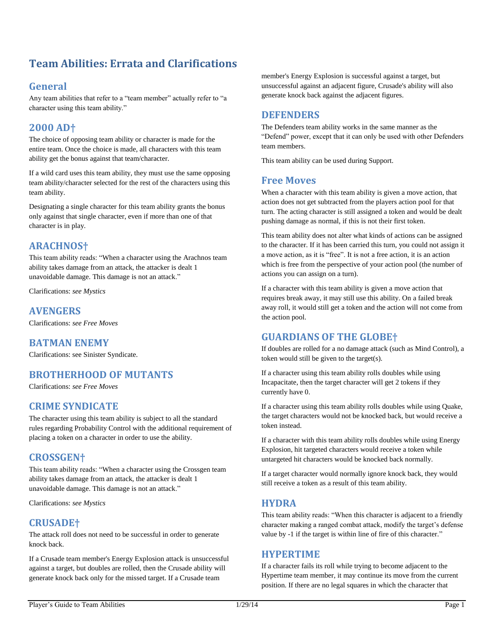## <span id="page-1-0"></span>**Team Abilities: Errata and Clarifications**

## **General**

Any team abilities that refer to a "team member" actually refer to "a character using this team ability."

## **2000 AD†**

The choice of opposing team ability or character is made for the entire team. Once the choice is made, all characters with this team ability get the bonus against that team/character.

If a wild card uses this team ability, they must use the same opposing team ability/character selected for the rest of the characters using this team ability.

Designating a single character for this team ability grants the bonus only against that single character, even if more than one of that character is in play.

## **ARACHNOS†**

This team ability reads: "When a character using the Arachnos team ability takes damage from an attack, the attacker is dealt 1 unavoidable damage. This damage is not an attack."

Clarifications: *see Mystics*

#### **AVENGERS**

Clarifications: *see Free Moves*

## **BATMAN ENEMY**

Clarifications: see Sinister Syndicate.

## **BROTHERHOOD OF MUTANTS**

Clarifications: *see Free Moves*

## **CRIME SYNDICATE**

The character using this team ability is subject to all the standard rules regarding Probability Control with the additional requirement of placing a token on a character in order to use the ability.

## **CROSSGEN†**

This team ability reads: "When a character using the Crossgen team ability takes damage from an attack, the attacker is dealt 1 unavoidable damage. This damage is not an attack."

Clarifications: *see Mystics*

## **CRUSADE†**

The attack roll does not need to be successful in order to generate knock back.

If a Crusade team member's Energy Explosion attack is unsuccessful against a target, but doubles are rolled, then the Crusade ability will generate knock back only for the missed target. If a Crusade team

member's Energy Explosion is successful against a target, but unsuccessful against an adjacent figure, Crusade's ability will also generate knock back against the adjacent figures.

## **DEFENDERS**

The Defenders team ability works in the same manner as the "Defend" power, except that it can only be used with other Defenders team members.

This team ability can be used during Support.

#### **Free Moves**

When a character with this team ability is given a move action, that action does not get subtracted from the players action pool for that turn. The acting character is still assigned a token and would be dealt pushing damage as normal, if this is not their first token.

This team ability does not alter what kinds of actions can be assigned to the character. If it has been carried this turn, you could not assign it a move action, as it is "free". It is not a free action, it is an action which is free from the perspective of your action pool (the number of actions you can assign on a turn).

If a character with this team ability is given a move action that requires break away, it may still use this ability. On a failed break away roll, it would still get a token and the action will not come from the action pool.

## **GUARDIANS OF THE GLOBE†**

If doubles are rolled for a no damage attack (such as Mind Control), a token would still be given to the target(s).

If a character using this team ability rolls doubles while using Incapacitate, then the target character will get 2 tokens if they currently have 0.

If a character using this team ability rolls doubles while using Quake, the target characters would not be knocked back, but would receive a token instead.

If a character with this team ability rolls doubles while using Energy Explosion, hit targeted characters would receive a token while untargeted hit characters would be knocked back normally.

If a target character would normally ignore knock back, they would still receive a token as a result of this team ability.

#### **HYDRA**

This team ability reads: "When this character is adjacent to a friendly character making a ranged combat attack, modify the target's defense value by -1 if the target is within line of fire of this character."

#### **HYPERTIME**

If a character fails its roll while trying to become adjacent to the Hypertime team member, it may continue its move from the current position. If there are no legal squares in which the character that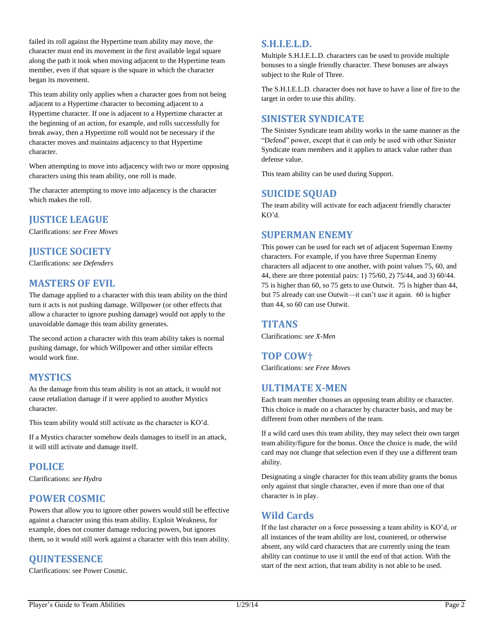failed its roll against the Hypertime team ability may move, the character must end its movement in the first available legal square along the path it took when moving adjacent to the Hypertime team member, even if that square is the square in which the character began its movement.

This team ability only applies when a character goes from not being adjacent to a Hypertime character to becoming adjacent to a Hypertime character. If one is adjacent to a Hypertime character at the beginning of an action, for example, and rolls successfully for break away, then a Hypertime roll would not be necessary if the character moves and maintains adjacency to that Hypertime character.

When attempting to move into adjacency with two or more opposing characters using this team ability, one roll is made.

The character attempting to move into adjacency is the character which makes the roll.

## **JUSTICE LEAGUE**

Clarifications: *see Free Moves*

## **JUSTICE SOCIETY**

Clarifications: *see Defenders*

## **MASTERS OF EVIL**

The damage applied to a character with this team ability on the third turn it acts is not pushing damage. Willpower (or other effects that allow a character to ignore pushing damage) would not apply to the unavoidable damage this team ability generates.

The second action a character with this team ability takes is normal pushing damage, for which Willpower and other similar effects would work fine.

## **MYSTICS**

As the damage from this team ability is not an attack, it would not cause retaliation damage if it were applied to another Mystics character.

This team ability would still activate as the character is KO'd.

If a Mystics character somehow deals damages to itself in an attack, it will still activate and damage itself.

## **POLICE**

Clarifications: *see Hydra*

## **POWER COSMIC**

Powers that allow you to ignore other powers would still be effective against a character using this team ability. Exploit Weakness, for example, does not counter damage reducing powers, but ignores them, so it would still work against a character with this team ability.

## **QUINTESSENCE**

Clarifications: see Power Cosmic.

## **S.H.I.E.L.D.**

Multiple S.H.I.E.L.D. characters can be used to provide multiple bonuses to a single friendly character. These bonuses are always subject to the Rule of Three.

The S.H.I.E.L.D. character does not have to have a line of fire to the target in order to use this ability.

## **SINISTER SYNDICATE**

The Sinister Syndicate team ability works in the same manner as the "Defend" power, except that it can only be used with other Sinister Syndicate team members and it applies to attack value rather than defense value.

This team ability can be used during Support.

## **SUICIDE SQUAD**

The team ability will activate for each adjacent friendly character KO'd.

## **SUPERMAN ENEMY**

This power can be used for each set of adjacent Superman Enemy characters. For example, if you have three Superman Enemy characters all adjacent to one another, with point values 75, 60, and 44, there are three potential pairs: 1) 75/60, 2) 75/44, and 3) 60/44. 75 is higher than 60, so 75 gets to use Outwit. 75 is higher than 44, but 75 already can use Outwit—it can't use it again. 60 is higher than 44, so 60 can use Outwit.

#### **TITANS**

Clarifications: *see X-Men*

## **TOP COW†**

Clarifications: *see Free Moves*

## **ULTIMATE X-MEN**

Each team member chooses an opposing team ability or character. This choice is made on a character by character basis, and may be different from other members of the team.

If a wild card uses this team ability, they may select their own target team ability/figure for the bonus. Once the choice is made, the wild card may not change that selection even if they use a different team ability.

Designating a single character for this team ability grants the bonus only against that single character, even if more than one of that character is in play.

## **Wild Cards**

If the last character on a force possessing a team ability is KO'd, or all instances of the team ability are lost, countered, or otherwise absent, any wild card characters that are currently using the team ability can continue to use it until the end of that action. With the start of the next action, that team ability is not able to be used.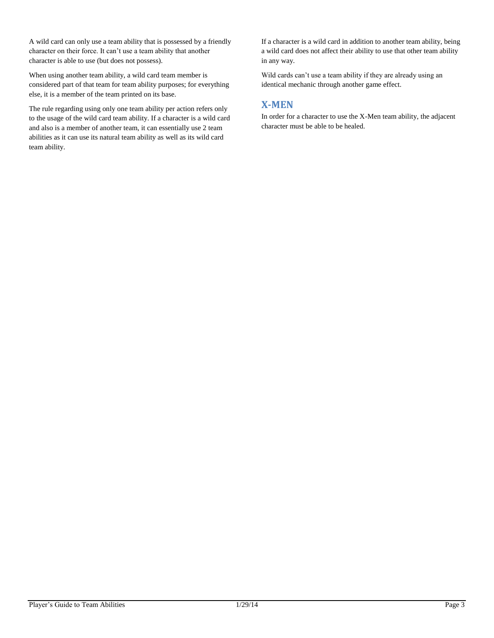A wild card can only use a team ability that is possessed by a friendly character on their force. It can't use a team ability that another character is able to use (but does not possess).

When using another team ability, a wild card team member is considered part of that team for team ability purposes; for everything else, it is a member of the team printed on its base.

The rule regarding using only one team ability per action refers only to the usage of the wild card team ability. If a character is a wild card and also is a member of another team, it can essentially use 2 team abilities as it can use its natural team ability as well as its wild card team ability.

If a character is a wild card in addition to another team ability, being a wild card does not affect their ability to use that other team ability in any way.

Wild cards can't use a team ability if they are already using an identical mechanic through another game effect.

## **X-MEN**

In order for a character to use the X-Men team ability, the adjacent character must be able to be healed.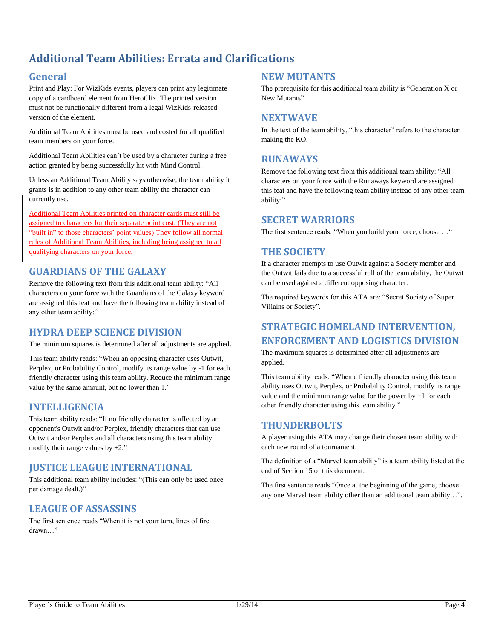## <span id="page-4-0"></span>**Additional Team Abilities: Errata and Clarifications**

## **General**

Print and Play: For WizKids events, players can print any legitimate copy of a cardboard element from HeroClix. The printed version must not be functionally different from a legal WizKids-released version of the element.

Additional Team Abilities must be used and costed for all qualified team members on your force.

Additional Team Abilities can't be used by a character during a free action granted by being successfully hit with Mind Control.

Unless an Additional Team Ability says otherwise, the team ability it grants is in addition to any other team ability the character can currently use.

Additional Team Abilities printed on character cards must still be assigned to characters for their separate point cost. (They are not "built in" to those characters' point values) They follow all normal rules of Additional Team Abilities, including being assigned to all qualifying characters on your force.

## **GUARDIANS OF THE GALAXY**

Remove the following text from this additional team ability: "All characters on your force with the Guardians of the Galaxy keyword are assigned this feat and have the following team ability instead of any other team ability:"

## **HYDRA DEEP SCIENCE DIVISION**

The minimum squares is determined after all adjustments are applied.

This team ability reads: "When an opposing character uses Outwit, Perplex, or Probability Control, modify its range value by -1 for each friendly character using this team ability. Reduce the minimum range value by the same amount, but no lower than 1."

#### **INTELLIGENCIA**

This team ability reads: "If no friendly character is affected by an opponent's Outwit and/or Perplex, friendly characters that can use Outwit and/or Perplex and all characters using this team ability modify their range values by +2."

## **JUSTICE LEAGUE INTERNATIONAL**

This additional team ability includes: "(This can only be used once per damage dealt.)"

## **LEAGUE OF ASSASSINS**

The first sentence reads "When it is not your turn, lines of fire drawn…"

#### **NEW MUTANTS**

The prerequisite for this additional team ability is "Generation X or New Mutants"

#### **NEXTWAVE**

In the text of the team ability, "this character" refers to the character making the KO.

#### **RUNAWAYS**

Remove the following text from this additional team ability: "All characters on your force with the Runaways keyword are assigned this feat and have the following team ability instead of any other team ability:"

#### **SECRET WARRIORS**

The first sentence reads: "When you build your force, choose ..."

## **THE SOCIETY**

If a character attempts to use Outwit against a Society member and the Outwit fails due to a successful roll of the team ability, the Outwit can be used against a different opposing character.

The required keywords for this ATA are: "Secret Society of Super Villains or Society".

## **STRATEGIC HOMELAND INTERVENTION, ENFORCEMENT AND LOGISTICS DIVISION**

The maximum squares is determined after all adjustments are applied.

This team ability reads: "When a friendly character using this team ability uses Outwit, Perplex, or Probability Control, modify its range value and the minimum range value for the power by  $+1$  for each other friendly character using this team ability."

#### **THUNDERBOLTS**

A player using this ATA may change their chosen team ability with each new round of a tournament.

The definition of a "Marvel team ability" is a team ability listed at the end of Section 15 of this document.

The first sentence reads "Once at the beginning of the game, choose any one Marvel team ability other than an additional team ability…".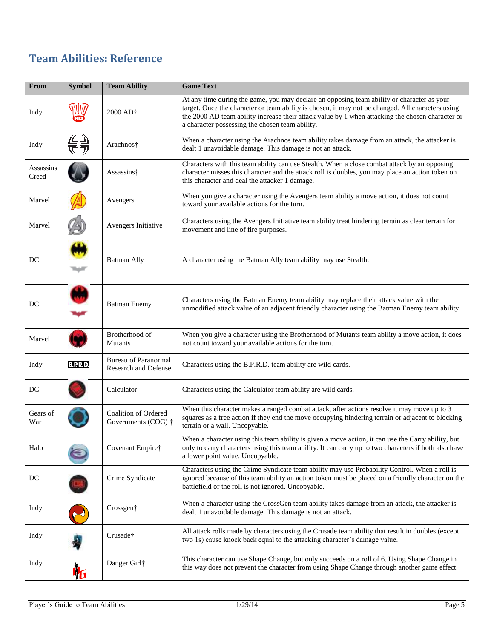## <span id="page-5-0"></span>**Team Abilities: Reference**

| From                | <b>Symbol</b>   | <b>Team Ability</b>                                 | <b>Game Text</b>                                                                                                                                                                                                                                                                                                                                       |
|---------------------|-----------------|-----------------------------------------------------|--------------------------------------------------------------------------------------------------------------------------------------------------------------------------------------------------------------------------------------------------------------------------------------------------------------------------------------------------------|
| Indy                |                 | 2000 AD†                                            | At any time during the game, you may declare an opposing team ability or character as your<br>target. Once the character or team ability is chosen, it may not be changed. All characters using<br>the 2000 AD team ability increase their attack value by 1 when attacking the chosen character or<br>a character possessing the chosen team ability. |
| Indy                | 틎킂              | Arachnos†                                           | When a character using the Arachnos team ability takes damage from an attack, the attacker is<br>dealt 1 unavoidable damage. This damage is not an attack.                                                                                                                                                                                             |
| Assassins<br>Creed  |                 | Assassins†                                          | Characters with this team ability can use Stealth. When a close combat attack by an opposing<br>character misses this character and the attack roll is doubles, you may place an action token on<br>this character and deal the attacker 1 damage.                                                                                                     |
| Marvel              |                 | Avengers                                            | When you give a character using the Avengers team ability a move action, it does not count<br>toward your available actions for the turn.                                                                                                                                                                                                              |
| Marvel              |                 | Avengers Initiative                                 | Characters using the Avengers Initiative team ability treat hindering terrain as clear terrain for<br>movement and line of fire purposes.                                                                                                                                                                                                              |
| DC                  |                 | <b>Batman Ally</b>                                  | A character using the Batman Ally team ability may use Stealth.                                                                                                                                                                                                                                                                                        |
| DC                  |                 | <b>Batman Enemy</b>                                 | Characters using the Batman Enemy team ability may replace their attack value with the<br>unmodified attack value of an adjacent friendly character using the Batman Enemy team ability.                                                                                                                                                               |
| Marvel              |                 | Brotherhood of<br><b>Mutants</b>                    | When you give a character using the Brotherhood of Mutants team ability a move action, it does<br>not count toward your available actions for the turn.                                                                                                                                                                                                |
| Indy                | <b>B.P.R.D.</b> | <b>Bureau of Paranormal</b><br>Research and Defense | Characters using the B.P.R.D. team ability are wild cards.                                                                                                                                                                                                                                                                                             |
| DC                  |                 | Calculator                                          | Characters using the Calculator team ability are wild cards.                                                                                                                                                                                                                                                                                           |
| Gears of<br>War     |                 | Coalition of Ordered<br>Governments (COG) †         | When this character makes a ranged combat attack, after actions resolve it may move up to 3<br>squares as a free action if they end the move occupying hindering terrain or adjacent to blocking<br>terrain or a wall. Uncopyable.                                                                                                                     |
| Halo                |                 | Covenant Empire†                                    | When a character using this team ability is given a move action, it can use the Carry ability, but<br>only to carry characters using this team ability. It can carry up to two characters if both also have<br>a lower point value. Uncopyable.                                                                                                        |
| $\operatorname{DC}$ |                 | Crime Syndicate                                     | Characters using the Crime Syndicate team ability may use Probability Control. When a roll is<br>ignored because of this team ability an action token must be placed on a friendly character on the<br>battlefield or the roll is not ignored. Uncopyable.                                                                                             |
| Indy                |                 | Crossgen†                                           | When a character using the CrossGen team ability takes damage from an attack, the attacker is<br>dealt 1 unavoidable damage. This damage is not an attack.                                                                                                                                                                                             |
| Indy                |                 | Crusade†                                            | All attack rolls made by characters using the Crusade team ability that result in doubles (except<br>two 1s) cause knock back equal to the attacking character's damage value.                                                                                                                                                                         |
| Indy                |                 | Danger Girl†                                        | This character can use Shape Change, but only succeeds on a roll of 6. Using Shape Change in<br>this way does not prevent the character from using Shape Change through another game effect.                                                                                                                                                           |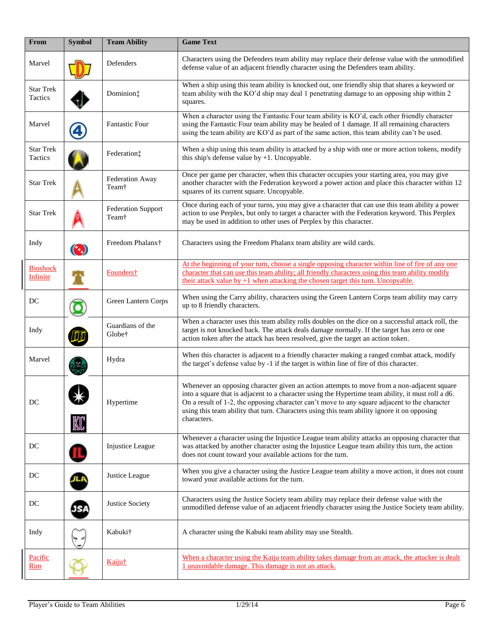| From                               | <b>Symbol</b> | <b>Team Ability</b>                | <b>Game Text</b>                                                                                                                                                                                                                                                                                                                                                                                                |  |  |  |
|------------------------------------|---------------|------------------------------------|-----------------------------------------------------------------------------------------------------------------------------------------------------------------------------------------------------------------------------------------------------------------------------------------------------------------------------------------------------------------------------------------------------------------|--|--|--|
| Marvel                             |               | Defenders                          | Characters using the Defenders team ability may replace their defense value with the unmodified<br>defense value of an adjacent friendly character using the Defenders team ability.                                                                                                                                                                                                                            |  |  |  |
| <b>Star Trek</b><br>Tactics        |               | Dominion:                          | When a ship using this team ability is knocked out, one friendly ship that shares a keyword or<br>team ability with the KO'd ship may deal 1 penetrating damage to an opposing ship within 2<br>squares.                                                                                                                                                                                                        |  |  |  |
| Marvel                             |               | <b>Fantastic Four</b>              | When a character using the Fantastic Four team ability is KO'd, each other friendly character<br>using the Fantastic Four team ability may be healed of 1 damage. If all remaining characters<br>using the team ability are KO'd as part of the same action, this team ability can't be used.                                                                                                                   |  |  |  |
| <b>Star Trek</b><br>Tactics        |               | Federation:                        | When a ship using this team ability is attacked by a ship with one or more action tokens, modify<br>this ship's defense value by $+1$ . Uncopyable.                                                                                                                                                                                                                                                             |  |  |  |
| <b>Star Trek</b>                   |               | <b>Federation Away</b><br>Team†    | Once per game per character, when this character occupies your starting area, you may give<br>another character with the Federation keyword a power action and place this character within 12<br>squares of its current square. Uncopyable.                                                                                                                                                                     |  |  |  |
| <b>Star Trek</b>                   |               | <b>Federation Support</b><br>Team† | Once during each of your turns, you may give a character that can use this team ability a power<br>action to use Perplex, but only to target a character with the Federation keyword. This Perplex<br>may be used in addition to other uses of Perplex by this character.                                                                                                                                       |  |  |  |
| Indy                               | $(\cdot, )$   | Freedom Phalanx†                   | Characters using the Freedom Phalanx team ability are wild cards.                                                                                                                                                                                                                                                                                                                                               |  |  |  |
| <b>Bioshock</b><br><b>Infinite</b> |               | Founders <sup>†</sup>              | At the beginning of your turn, choose a single opposing character within line of fire of any one<br>character that can use this team ability; all friendly characters using this team ability modify<br>their attack value by $+1$ when attacking the chosen target this turn. Uncopyable.                                                                                                                      |  |  |  |
| DC                                 |               | Green Lantern Corps                | When using the Carry ability, characters using the Green Lantern Corps team ability may carry<br>up to 8 friendly characters.                                                                                                                                                                                                                                                                                   |  |  |  |
| Indy                               |               | Guardians of the<br>Globe†         | When a character uses this team ability rolls doubles on the dice on a successful attack roll, the<br>target is not knocked back. The attack deals damage normally. If the target has zero or one<br>action token after the attack has been resolved, give the target an action token.                                                                                                                          |  |  |  |
| Marvel                             |               | Hydra                              | When this character is adjacent to a friendly character making a ranged combat attack, modify<br>the target's defense value by -1 if the target is within line of fire of this character.                                                                                                                                                                                                                       |  |  |  |
| $\rm DC$                           |               | Hypertime                          | Whenever an opposing character given an action attempts to move from a non-adjacent square<br>into a square that is adjacent to a character using the Hypertime team ability, it must roll a d6.<br>On a result of 1-2, the opposing character can't move to any square adjacent to the character<br>using this team ability that turn. Characters using this team ability ignore it on opposing<br>characters. |  |  |  |
| DC                                 |               | Injustice League                   | Whenever a character using the Injustice League team ability attacks an opposing character that<br>was attacked by another character using the Injustice League team ability this turn, the action<br>does not count toward your available actions for the turn.                                                                                                                                                |  |  |  |
| DC                                 |               | Justice League                     | When you give a character using the Justice League team ability a move action, it does not count<br>toward your available actions for the turn.                                                                                                                                                                                                                                                                 |  |  |  |
| DC                                 | <u>197</u>    | Justice Society                    | Characters using the Justice Society team ability may replace their defense value with the<br>unmodified defense value of an adjacent friendly character using the Justice Society team ability.                                                                                                                                                                                                                |  |  |  |
| Indy                               |               | Kabuki†                            | A character using the Kabuki team ability may use Stealth.                                                                                                                                                                                                                                                                                                                                                      |  |  |  |
| Pacific<br>Rim                     |               | Kaiju†                             | When a character using the Kaiju team ability takes damage from an attack, the attacker is dealt<br>1 unavoidable damage. This damage is not an attack.                                                                                                                                                                                                                                                         |  |  |  |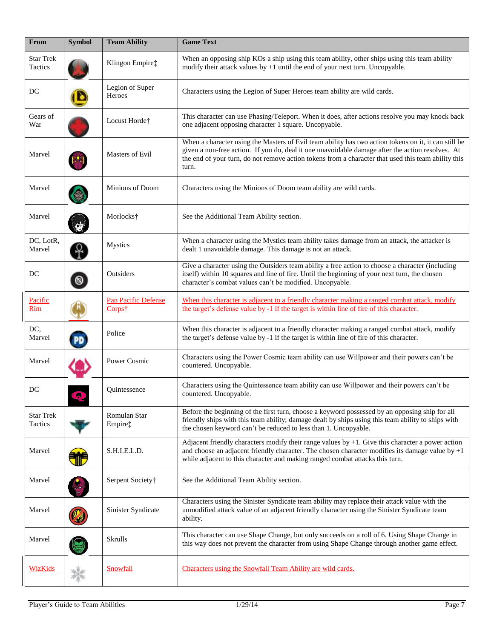| From                        | <b>Symbol</b> | <b>Team Ability</b>                              | <b>Game Text</b>                                                                                                                                                                                                                                                                                                         |  |
|-----------------------------|---------------|--------------------------------------------------|--------------------------------------------------------------------------------------------------------------------------------------------------------------------------------------------------------------------------------------------------------------------------------------------------------------------------|--|
| <b>Star Trek</b><br>Tactics |               | Klingon Empire‡                                  | When an opposing ship KOs a ship using this team ability, other ships using this team ability<br>modify their attack values by $+1$ until the end of your next turn. Uncopyable.                                                                                                                                         |  |
| DC                          |               | Legion of Super<br>Heroes                        | Characters using the Legion of Super Heroes team ability are wild cards.                                                                                                                                                                                                                                                 |  |
| Gears of<br>War             |               | Locust Horde†                                    | This character can use Phasing/Teleport. When it does, after actions resolve you may knock back<br>one adjacent opposing character 1 square. Uncopyable.                                                                                                                                                                 |  |
| Marvel                      |               | Masters of Evil                                  | When a character using the Masters of Evil team ability has two action tokens on it, it can still be<br>given a non-free action. If you do, deal it one unavoidable damage after the action resolves. At<br>the end of your turn, do not remove action tokens from a character that used this team ability this<br>turn. |  |
| Marvel                      |               | Minions of Doom                                  | Characters using the Minions of Doom team ability are wild cards.                                                                                                                                                                                                                                                        |  |
| Marvel                      |               | Morlocks <sup>†</sup>                            | See the Additional Team Ability section.                                                                                                                                                                                                                                                                                 |  |
| DC, LotR,<br>Marvel         |               | <b>Mystics</b>                                   | When a character using the Mystics team ability takes damage from an attack, the attacker is<br>dealt 1 unavoidable damage. This damage is not an attack.                                                                                                                                                                |  |
| DC                          | $^{\circ}$    | Outsiders                                        | Give a character using the Outsiders team ability a free action to choose a character (including<br>itself) within 10 squares and line of fire. Until the beginning of your next turn, the chosen<br>character's combat values can't be modified. Uncopyable.                                                            |  |
| Pacific<br>Rim              |               | <b>Pan Pacific Defense</b><br>Corps <sup>†</sup> | When this character is adjacent to a friendly character making a ranged combat attack, modify<br>the target's defense value by -1 if the target is within line of fire of this character.                                                                                                                                |  |
| DC,<br>Marvel               | PD            | Police                                           | When this character is adjacent to a friendly character making a ranged combat attack, modify<br>the target's defense value by -1 if the target is within line of fire of this character.                                                                                                                                |  |
| Marvel                      |               | Power Cosmic                                     | Characters using the Power Cosmic team ability can use Willpower and their powers can't be<br>countered. Uncopyable.                                                                                                                                                                                                     |  |
| DC                          | $\Box$        | Quintessence                                     | Characters using the Quintessence team ability can use Willpower and their powers can't be<br>countered. Uncopyable.                                                                                                                                                                                                     |  |
| <b>Star Trek</b><br>Tactics |               | Romulan Star<br>Empire‡                          | Before the beginning of the first turn, choose a keyword possessed by an opposing ship for all<br>friendly ships with this team ability; damage dealt by ships using this team ability to ships with<br>the chosen keyword can't be reduced to less than 1. Uncopyable.                                                  |  |
| Marvel                      |               | S.H.I.E.L.D.                                     | Adjacent friendly characters modify their range values by $+1$ . Give this character a power action<br>and choose an adjacent friendly character. The chosen character modifies its damage value by $+1$<br>while adjacent to this character and making ranged combat attacks this turn.                                 |  |
| Marvel                      |               | Serpent Society†                                 | See the Additional Team Ability section.                                                                                                                                                                                                                                                                                 |  |
| Marvel                      |               | Sinister Syndicate                               | Characters using the Sinister Syndicate team ability may replace their attack value with the<br>unmodified attack value of an adjacent friendly character using the Sinister Syndicate team<br>ability.                                                                                                                  |  |
| Marvel                      |               | Skrulls                                          | This character can use Shape Change, but only succeeds on a roll of 6. Using Shape Change in<br>this way does not prevent the character from using Shape Change through another game effect.                                                                                                                             |  |
| <b>WizKids</b>              |               | Snowfall                                         | Characters using the Snowfall Team Ability are wild cards.                                                                                                                                                                                                                                                               |  |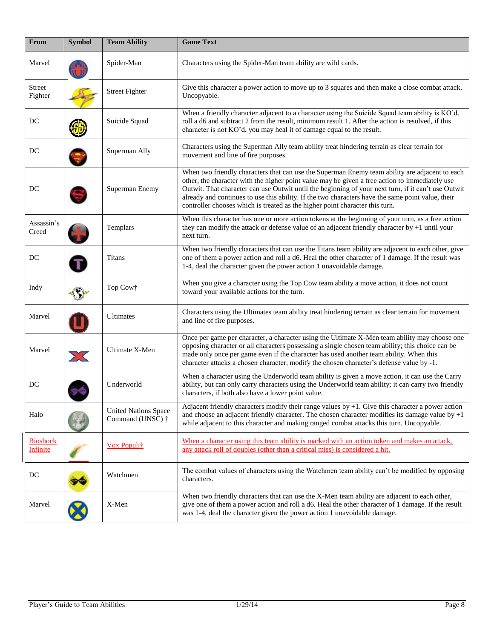| From                               | <b>Symbol</b>    | <b>Team Ability</b>                                     | <b>Game Text</b>                                                                                                                                                                                                                                                                                                                                                                                                                                                                             |
|------------------------------------|------------------|---------------------------------------------------------|----------------------------------------------------------------------------------------------------------------------------------------------------------------------------------------------------------------------------------------------------------------------------------------------------------------------------------------------------------------------------------------------------------------------------------------------------------------------------------------------|
| Marvel                             |                  | Spider-Man                                              | Characters using the Spider-Man team ability are wild cards.                                                                                                                                                                                                                                                                                                                                                                                                                                 |
| Street<br>Fighter                  |                  | <b>Street Fighter</b>                                   | Give this character a power action to move up to 3 squares and then make a close combat attack.<br>Uncopyable.                                                                                                                                                                                                                                                                                                                                                                               |
| DC                                 |                  | Suicide Squad                                           | When a friendly character adjacent to a character using the Suicide Squad team ability is KO'd,<br>roll a d6 and subtract 2 from the result, minimum result 1. After the action is resolved, if this<br>character is not KO'd, you may heal it of damage equal to the result.                                                                                                                                                                                                                |
| DC                                 |                  | Superman Ally                                           | Characters using the Superman Ally team ability treat hindering terrain as clear terrain for<br>movement and line of fire purposes.                                                                                                                                                                                                                                                                                                                                                          |
| DC                                 |                  | Superman Enemy                                          | When two friendly characters that can use the Superman Enemy team ability are adjacent to each<br>other, the character with the higher point value may be given a free action to immediately use<br>Outwit. That character can use Outwit until the beginning of your next turn, if it can't use Outwit<br>already and continues to use this ability. If the two characters have the same point value, their<br>controller chooses which is treated as the higher point character this turn. |
| Assassin's<br>Creed                |                  | Templars                                                | When this character has one or more action tokens at the beginning of your turn, as a free action<br>they can modify the attack or defense value of an adjacent friendly character by +1 until your<br>next turn.                                                                                                                                                                                                                                                                            |
| DC                                 |                  | <b>Titans</b>                                           | When two friendly characters that can use the Titans team ability are adjacent to each other, give<br>one of them a power action and roll a d6. Heal the other character of 1 damage. If the result was<br>1-4, deal the character given the power action 1 unavoidable damage.                                                                                                                                                                                                              |
| Indy                               |                  | Top Cow†                                                | When you give a character using the Top Cow team ability a move action, it does not count<br>toward your available actions for the turn.                                                                                                                                                                                                                                                                                                                                                     |
| Marvel                             |                  | Ultimates                                               | Characters using the Ultimates team ability treat hindering terrain as clear terrain for movement<br>and line of fire purposes.                                                                                                                                                                                                                                                                                                                                                              |
| Marvel                             | $\sum_{i=1}^{n}$ | Ultimate X-Men                                          | Once per game per character, a character using the Ultimate X-Men team ability may choose one<br>opposing character or all characters possessing a single chosen team ability; this choice can be<br>made only once per game even if the character has used another team ability. When this<br>character attacks a chosen character, modify the chosen character's defense value by -1.                                                                                                      |
| DC                                 |                  | Underworld                                              | When a character using the Underworld team ability is given a move action, it can use the Carry<br>ability, but can only carry characters using the Underworld team ability; it can carry two friendly<br>characters, if both also have a lower point value.                                                                                                                                                                                                                                 |
| Halo                               |                  | <b>United Nations Space</b><br>Command (UNSC) $\dagger$ | Adjacent friendly characters modify their range values by $+1$ . Give this character a power action<br>and choose an adjacent friendly character. The chosen character modifies its damage value by $+1$<br>while adjacent to this character and making ranged combat attacks this turn. Uncopyable.                                                                                                                                                                                         |
| <b>Bioshock</b><br><b>Infinite</b> |                  | Vox Populit                                             | When a character using this team ability is marked with an action token and makes an attack,<br>any attack roll of doubles (other than a critical miss) is considered a hit.                                                                                                                                                                                                                                                                                                                 |
| DC                                 |                  | Watchmen                                                | The combat values of characters using the Watchmen team ability can't be modified by opposing<br>characters.                                                                                                                                                                                                                                                                                                                                                                                 |
| Marvel                             |                  | X-Men                                                   | When two friendly characters that can use the X-Men team ability are adjacent to each other,<br>give one of them a power action and roll a d6. Heal the other character of 1 damage. If the result<br>was 1-4, deal the character given the power action 1 unavoidable damage.                                                                                                                                                                                                               |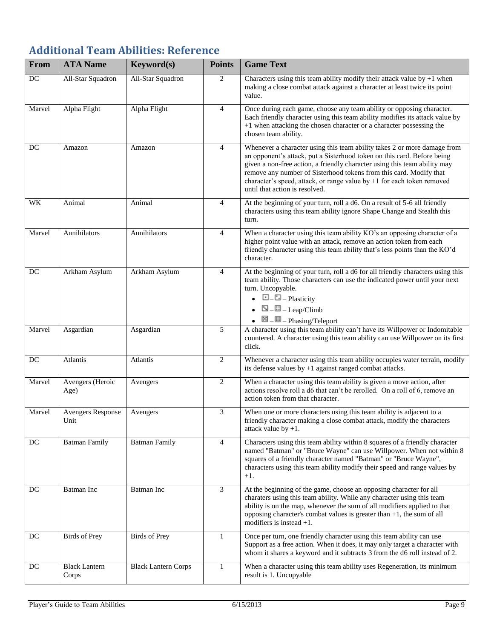# <span id="page-9-0"></span>**Additional Team Abilities: Reference**

| From   | <b>ATA Name</b>                  | Keyword(s)                 | <b>Points</b>  | <b>Game Text</b>                                                                                                                                                                                                                                                                                                                                                                                                                                                                                                                                                                                                                                                                                                                                                                                                      |
|--------|----------------------------------|----------------------------|----------------|-----------------------------------------------------------------------------------------------------------------------------------------------------------------------------------------------------------------------------------------------------------------------------------------------------------------------------------------------------------------------------------------------------------------------------------------------------------------------------------------------------------------------------------------------------------------------------------------------------------------------------------------------------------------------------------------------------------------------------------------------------------------------------------------------------------------------|
| DC     | All-Star Squadron                | All-Star Squadron          | 2              | Characters using this team ability modify their attack value by $+1$ when<br>making a close combat attack against a character at least twice its point<br>value.                                                                                                                                                                                                                                                                                                                                                                                                                                                                                                                                                                                                                                                      |
| Marvel | Alpha Flight                     | Alpha Flight               | 4              | Once during each game, choose any team ability or opposing character.<br>Each friendly character using this team ability modifies its attack value by<br>+1 when attacking the chosen character or a character possessing the<br>chosen team ability.                                                                                                                                                                                                                                                                                                                                                                                                                                                                                                                                                                 |
| DC     | Amazon                           | Amazon                     | 4              | Whenever a character using this team ability takes 2 or more damage from<br>an opponent's attack, put a Sisterhood token on this card. Before being<br>given a non-free action, a friendly character using this team ability may<br>remove any number of Sisterhood tokens from this card. Modify that<br>character's speed, attack, or range value by +1 for each token removed<br>until that action is resolved.                                                                                                                                                                                                                                                                                                                                                                                                    |
| WK     | Animal                           | Animal                     | 4              | At the beginning of your turn, roll $\overline{a}$ d6. On a result of 5-6 all friendly<br>characters using this team ability ignore Shape Change and Stealth this<br>turn.                                                                                                                                                                                                                                                                                                                                                                                                                                                                                                                                                                                                                                            |
| Marvel | Annihilators                     | Annihilators               | $\overline{4}$ | When a character using this team ability KO's an opposing character of a<br>higher point value with an attack, remove an action token from each<br>friendly character using this team ability that's less points than the KO'd<br>character.                                                                                                                                                                                                                                                                                                                                                                                                                                                                                                                                                                          |
| DC     | Arkham Asylum                    | Arkham Asylum              | 4              | At the beginning of your turn, roll a d6 for all friendly characters using this<br>team ability. Those characters can use the indicated power until your next<br>turn. Uncopyable.<br>$\bullet$ $\Box$ $\Box$ - Plasticity<br>$\blacksquare$ $\blacksquare$ $\blacksquare$ $\blacksquare$ $\blacksquare$ $\blacksquare$<br>$\blacksquare$ $\blacksquare$ $\blacksquare$ $\blacksquare$ $\blacksquare$ $\blacksquare$ $\blacksquare$ $\blacksquare$ $\blacksquare$ $\blacksquare$ $\blacksquare$ $\blacksquare$ $\blacksquare$ $\blacksquare$ $\blacksquare$ $\blacksquare$ $\blacksquare$ $\blacksquare$ $\blacksquare$ $\blacksquare$ $\blacksquare$ $\blacksquare$ $\blacksquare$ $\blacksquare$ $\blacksquare$ $\blacksquare$ $\blacksquare$ $\blacksquare$ $\blacksquare$ $\blacksquare$ $\blacksquare$ $\blacks$ |
| Marvel | Asgardian                        | Asgardian                  | 5              | A character using this team ability can't have its Willpower or Indomitable<br>countered. A character using this team ability can use Willpower on its first<br>click.                                                                                                                                                                                                                                                                                                                                                                                                                                                                                                                                                                                                                                                |
| DC     | Atlantis                         | Atlantis                   | 2              | Whenever a character using this team ability occupies water terrain, modify<br>its defense values by +1 against ranged combat attacks.                                                                                                                                                                                                                                                                                                                                                                                                                                                                                                                                                                                                                                                                                |
| Marvel | Avengers (Heroic<br>Age)         | Avengers                   | 2              | When a character using this team ability is given a move action, after<br>actions resolve roll a d6 that can't be rerolled. On a roll of 6, remove an<br>action token from that character.                                                                                                                                                                                                                                                                                                                                                                                                                                                                                                                                                                                                                            |
| Marvel | <b>Avengers Response</b><br>Unit | Avengers                   | 3              | When one or more characters using this team ability is adjacent to a<br>friendly character making a close combat attack, modify the characters<br>attack value by $+1$ .                                                                                                                                                                                                                                                                                                                                                                                                                                                                                                                                                                                                                                              |
| DC     | <b>Batman Family</b>             | <b>Batman Family</b>       | $\overline{4}$ | Characters using this team ability within 8 squares of a friendly character<br>named "Batman" or "Bruce Wayne" can use Willpower. When not within 8<br>squares of a friendly character named "Batman" or "Bruce Wayne",<br>characters using this team ability modify their speed and range values by<br>$+1.$                                                                                                                                                                                                                                                                                                                                                                                                                                                                                                         |
| DC     | Batman Inc                       | Batman Inc                 | 3              | At the beginning of the game, choose an opposing character for all<br>charaters using this team ability. While any character using this team<br>ability is on the map, whenever the sum of all modifiers applied to that<br>opposing character's combat values is greater than $+1$ , the sum of all<br>modifiers is instead $+1$ .                                                                                                                                                                                                                                                                                                                                                                                                                                                                                   |
| DC     | <b>Birds of Prey</b>             | <b>Birds</b> of Prey       | $\mathbf{1}$   | Once per turn, one friendly character using this team ability can use<br>Support as a free action. When it does, it may only target a character with<br>whom it shares a keyword and it subtracts 3 from the d6 roll instead of 2.                                                                                                                                                                                                                                                                                                                                                                                                                                                                                                                                                                                    |
| DC     | <b>Black Lantern</b><br>Corps    | <b>Black Lantern Corps</b> | $\mathbf{1}$   | When a character using this team ability uses Regeneration, its minimum<br>result is 1. Uncopyable                                                                                                                                                                                                                                                                                                                                                                                                                                                                                                                                                                                                                                                                                                                    |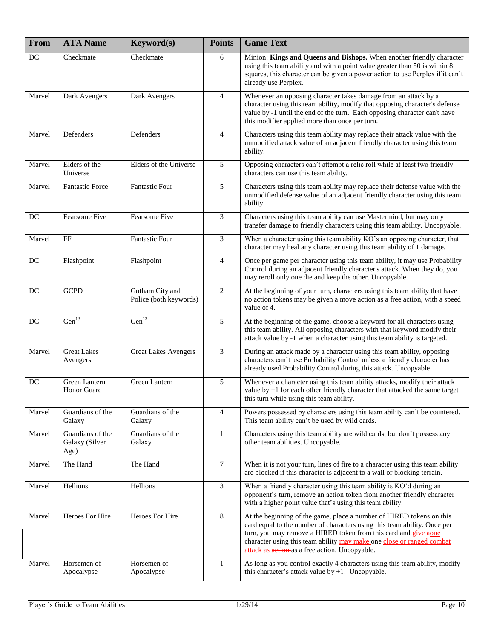| From   | <b>ATA</b> Name                            | Keyword(s)                                | <b>Points</b>  | <b>Game Text</b>                                                                                                                                                                                                                                                                                                                               |
|--------|--------------------------------------------|-------------------------------------------|----------------|------------------------------------------------------------------------------------------------------------------------------------------------------------------------------------------------------------------------------------------------------------------------------------------------------------------------------------------------|
| DC     | Checkmate                                  | Checkmate                                 | 6              | Minion: Kings and Queens and Bishops. When another friendly character<br>using this team ability and with a point value greater than 50 is within 8<br>squares, this character can be given a power action to use Perplex if it can't<br>already use Perplex.                                                                                  |
| Marvel | Dark Avengers                              | Dark Avengers                             | 4              | Whenever an opposing character takes damage from an attack by a<br>character using this team ability, modify that opposing character's defense<br>value by -1 until the end of the turn. Each opposing character can't have<br>this modifier applied more than once per turn.                                                                  |
| Marvel | Defenders                                  | Defenders                                 | 4              | Characters using this team ability may replace their attack value with the<br>unmodified attack value of an adjacent friendly character using this team<br>ability.                                                                                                                                                                            |
| Marvel | Elders of the<br>Universe                  | Elders of the Universe                    | 5              | Opposing characters can't attempt a relic roll while at least two friendly<br>characters can use this team ability.                                                                                                                                                                                                                            |
| Marvel | <b>Fantastic Force</b>                     | Fantastic Four                            | 5              | Characters using this team ability may replace their defense value with the<br>unmodified defense value of an adjacent friendly character using this team<br>ability.                                                                                                                                                                          |
| DC     | <b>Fearsome Five</b>                       | <b>Fearsome Five</b>                      | 3              | Characters using this team ability can use Mastermind, but may only<br>transfer damage to friendly characters using this team ability. Uncopyable.                                                                                                                                                                                             |
| Marvel | FF                                         | Fantastic Four                            | 3              | When a character using this team ability KO's an opposing character, that<br>character may heal any character using this team ability of 1 damage.                                                                                                                                                                                             |
| DC     | Flashpoint                                 | Flashpoint                                | $\overline{4}$ | Once per game per character using this team ability, it may use Probability<br>Control during an adjacent friendly character's attack. When they do, you<br>may reroll only one die and keep the other. Uncopyable.                                                                                                                            |
| DC     | <b>GCPD</b>                                | Gotham City and<br>Police (both keywords) | 2              | At the beginning of your turn, characters using this team ability that have<br>no action tokens may be given a move action as a free action, with a speed<br>value of 4.                                                                                                                                                                       |
| DC     | Gen <sup>13</sup>                          | Gen <sup>13</sup>                         | 5              | At the beginning of the game, choose a keyword for all characters using<br>this team ability. All opposing characters with that keyword modify their<br>attack value by -1 when a character using this team ability is targeted.                                                                                                               |
| Marvel | <b>Great Lakes</b><br>Avengers             | <b>Great Lakes Avengers</b>               | 3              | During an attack made by a character using this team ability, opposing<br>characters can't use Probability Control unless a friendly character has<br>already used Probability Control during this attack. Uncopyable.                                                                                                                         |
| DC     | Green Lantern<br><b>Honor Guard</b>        | Green Lantern                             | 5              | Whenever a character using this team ability attacks, modify their attack<br>value by $+1$ for each other friendly character that attacked the same target<br>this turn while using this team ability.                                                                                                                                         |
| Marvel | Guardians of the<br>Galaxy                 | Guardians of the<br>Galaxy                | $\overline{4}$ | Powers possessed by characters using this team ability can't be countered.<br>This team ability can't be used by wild cards.                                                                                                                                                                                                                   |
| Marvel | Guardians of the<br>Galaxy (Silver<br>Age) | Guardians of the<br>Galaxy                | 1              | Characters using this team ability are wild cards, but don't possess any<br>other team abilities. Uncopyable.                                                                                                                                                                                                                                  |
| Marvel | The Hand                                   | The Hand                                  | $\overline{7}$ | When it is not your turn, lines of fire to a character using this team ability<br>are blocked if this character is adjacent to a wall or blocking terrain.                                                                                                                                                                                     |
| Marvel | Hellions                                   | Hellions                                  | $\overline{3}$ | When a friendly character using this team ability is KO'd during an<br>opponent's turn, remove an action token from another friendly character<br>with a higher point value that's using this team ability.                                                                                                                                    |
| Marvel | Heroes For Hire                            | Heroes For Hire                           | $8\,$          | At the beginning of the game, place a number of HIRED tokens on this<br>card equal to the number of characters using this team ability. Once per<br>turn, you may remove a HIRED token from this card and give aone<br>character using this team ability may make one close or ranged combat<br>attack as action as a free action. Uncopyable. |
| Marvel | Horsemen of<br>Apocalypse                  | Horsemen of<br>Apocalypse                 | $\mathbf{1}$   | As long as you control exactly 4 characters using this team ability, modify<br>this character's attack value by $+1$ . Uncopyable.                                                                                                                                                                                                             |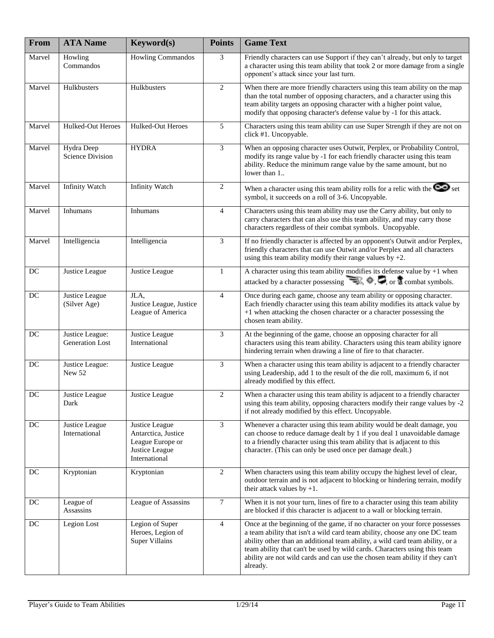| From   | <b>ATA Name</b>                       | Keyword(s)                                                                                   | <b>Points</b>    | <b>Game Text</b>                                                                                                                                                                                                                                                                                                                                                                                                   |
|--------|---------------------------------------|----------------------------------------------------------------------------------------------|------------------|--------------------------------------------------------------------------------------------------------------------------------------------------------------------------------------------------------------------------------------------------------------------------------------------------------------------------------------------------------------------------------------------------------------------|
| Marvel | Howling<br>Commandos                  | <b>Howling Commandos</b>                                                                     | 3                | Friendly characters can use Support if they can't already, but only to target<br>a character using this team ability that took 2 or more damage from a single<br>opponent's attack since your last turn.                                                                                                                                                                                                           |
| Marvel | Hulkbusters                           | Hulkbusters                                                                                  | 2                | When there are more friendly characters using this team ability on the map<br>than the total number of opposing characters, and a character using this<br>team ability targets an opposing character with a higher point value,<br>modify that opposing character's defense value by -1 for this attack.                                                                                                           |
| Marvel | Hulked-Out Heroes                     | Hulked-Out Heroes                                                                            | 5                | Characters using this team ability can use Super Strength if they are not on<br>click #1. Uncopyable.                                                                                                                                                                                                                                                                                                              |
| Marvel | Hydra Deep<br><b>Science Division</b> | <b>HYDRA</b>                                                                                 | 3                | When an opposing character uses Outwit, Perplex, or Probability Control,<br>modify its range value by -1 for each friendly character using this team<br>ability. Reduce the minimum range value by the same amount, but no<br>lower than 1                                                                                                                                                                         |
| Marvel | <b>Infinity Watch</b>                 | <b>Infinity Watch</b>                                                                        | $\overline{c}$   | When a character using this team ability rolls for a relic with the $\infty$ set<br>symbol, it succeeds on a roll of 3-6. Uncopyable.                                                                                                                                                                                                                                                                              |
| Marvel | Inhumans                              | Inhumans                                                                                     | $\overline{4}$   | Characters using this team ability may use the Carry ability, but only to<br>carry characters that can also use this team ability, and may carry those<br>characters regardless of their combat symbols. Uncopyable.                                                                                                                                                                                               |
| Marvel | Intelligencia                         | Intelligencia                                                                                | 3                | If no friendly character is affected by an opponent's Outwit and/or Perplex,<br>friendly characters that can use Outwit and/or Perplex and all characters<br>using this team ability modify their range values by $+2$ .                                                                                                                                                                                           |
| DC     | Justice League                        | Justice League                                                                               | $\mathbf{1}$     | A character using this team ability modifies its defense value by $+1$ when<br>attacked by a character possessing $\rightarrow$ , $\bullet$ , $\bullet$ , $\bullet$ , or $\uparrow$ combat symbols.                                                                                                                                                                                                                |
| DC     | Justice League<br>(Silver Age)        | JLA,<br>Justice League, Justice<br>League of America                                         | $\overline{4}$   | Once during each game, choose any team ability or opposing character.<br>Each friendly character using this team ability modifies its attack value by<br>+1 when attacking the chosen character or a character possessing the<br>chosen team ability.                                                                                                                                                              |
| DC     | Justice League:<br>Generation Lost    | Justice League<br>International                                                              | 3                | At the beginning of the game, choose an opposing character for all<br>characters using this team ability. Characters using this team ability ignore<br>hindering terrain when drawing a line of fire to that character.                                                                                                                                                                                            |
| DC     | Justice League:<br>New 52             | Justice League                                                                               | $\overline{3}$   | When a character using this team ability is adjacent to a friendly character<br>using Leadership, add 1 to the result of the die roll, maximum 6, if not<br>already modified by this effect.                                                                                                                                                                                                                       |
| $DC$   | Justice League<br>Dark                | Justice League                                                                               | $\boldsymbol{2}$ | When a character using this team ability is adjacent to a friendly character<br>using this team ability, opposing characters modify their range values by -2<br>if not already modified by this effect. Uncopyable.                                                                                                                                                                                                |
| DC     | Justice League<br>International       | Justice League<br>Antarctica, Justice<br>League Europe or<br>Justice League<br>International | 3                | Whenever a character using this team ability would be dealt damage, you<br>can choose to reduce damage dealt by 1 if you deal 1 unavoidable damage<br>to a friendly character using this team ability that is adjacent to this<br>character. (This can only be used once per damage dealt.)                                                                                                                        |
| DC     | Kryptonian                            | Kryptonian                                                                                   | 2                | When characters using this team ability occupy the highest level of clear,<br>outdoor terrain and is not adjacent to blocking or hindering terrain, modify<br>their attack values by $+1$ .                                                                                                                                                                                                                        |
| DC     | League of<br>Assassins                | League of Assassins                                                                          | $\tau$           | When it is not your turn, lines of fire to a character using this team ability<br>are blocked if this character is adjacent to a wall or blocking terrain.                                                                                                                                                                                                                                                         |
| DC     | Legion Lost                           | Legion of Super<br>Heroes, Legion of<br><b>Super Villains</b>                                | $\overline{4}$   | Once at the beginning of the game, if no character on your force possesses<br>a team ability that isn't a wild card team ability, choose any one DC team<br>ability other than an additional team ability, a wild card team ability, or a<br>team ability that can't be used by wild cards. Characters using this team<br>ability are not wild cards and can use the chosen team ability if they can't<br>already. |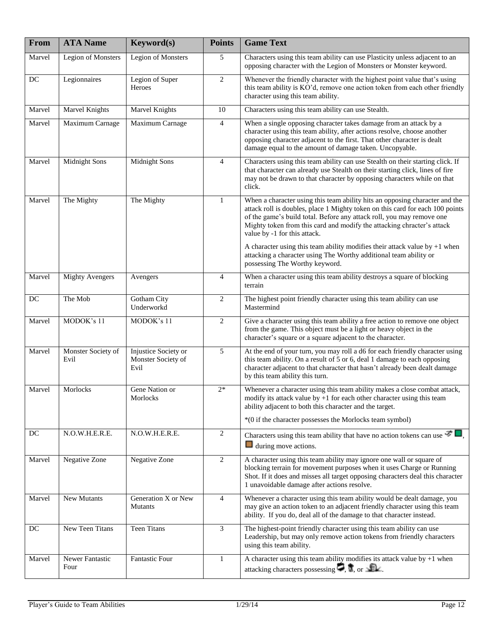| From   | <b>ATA Name</b>            | <b>Keyword(s)</b>                                  | <b>Points</b>  | <b>Game Text</b>                                                                                                                                                                                                                                                                                                                                |
|--------|----------------------------|----------------------------------------------------|----------------|-------------------------------------------------------------------------------------------------------------------------------------------------------------------------------------------------------------------------------------------------------------------------------------------------------------------------------------------------|
| Marvel | <b>Legion of Monsters</b>  | Legion of Monsters                                 | 5              | Characters using this team ability can use Plasticity unless adjacent to an<br>opposing character with the Legion of Monsters or Monster keyword.                                                                                                                                                                                               |
| DC     | Legionnaires               | Legion of Super<br>Heroes                          | $\overline{2}$ | Whenever the friendly character with the highest point value that's using<br>this team ability is KO'd, remove one action token from each other friendly<br>character using this team ability.                                                                                                                                                  |
| Marvel | Marvel Knights             | Marvel Knights                                     | 10             | Characters using this team ability can use Stealth.                                                                                                                                                                                                                                                                                             |
| Marvel | Maximum Carnage            | Maximum Carnage                                    | $\overline{4}$ | When a single opposing character takes damage from an attack by a<br>character using this team ability, after actions resolve, choose another<br>opposing character adjacent to the first. That other character is dealt<br>damage equal to the amount of damage taken. Uncopyable.                                                             |
| Marvel | <b>Midnight Sons</b>       | Midnight Sons                                      | $\overline{4}$ | Characters using this team ability can use Stealth on their starting click. If<br>that character can already use Stealth on their starting click, lines of fire<br>may not be drawn to that character by opposing characters while on that<br>click.                                                                                            |
| Marvel | The Mighty                 | The Mighty                                         | $\mathbf{1}$   | When a character using this team ability hits an opposing character and the<br>attack roll is doubles, place 1 Mighty token on this card for each 100 points<br>of the game's build total. Before any attack roll, you may remove one<br>Mighty token from this card and modify the attacking chracter's attack<br>value by -1 for this attack. |
|        |                            |                                                    |                | A character using this team ability modifies their attack value by $+1$ when<br>attacking a character using The Worthy additional team ability or<br>possessing The Worthy keyword.                                                                                                                                                             |
| Marvel | <b>Mighty Avengers</b>     | Avengers                                           | $\overline{4}$ | When a character using this team ability destroys a square of blocking<br>terrain                                                                                                                                                                                                                                                               |
| DC     | The Mob                    | Gotham City<br>Underworkd                          | $\overline{c}$ | The highest point friendly character using this team ability can use<br>Mastermind                                                                                                                                                                                                                                                              |
| Marvel | MODOK's 11                 | MODOK's 11                                         | $\overline{2}$ | Give a character using this team ability a free action to remove one object<br>from the game. This object must be a light or heavy object in the<br>character's square or a square adjacent to the character.                                                                                                                                   |
| Marvel | Monster Society of<br>Evil | Injustice Society or<br>Monster Society of<br>Evil | 5              | At the end of your turn, you may roll a d6 for each friendly character using<br>this team ability. On a result of 5 or 6, deal 1 damage to each opposing<br>character adjacent to that character that hasn't already been dealt damage<br>by this team ability this turn.                                                                       |
| Marvel | Morlocks                   | Gene Nation or<br>Morlocks                         | $2*$           | Whenever a character using this team ability makes a close combat attack,<br>modify its attack value by $+1$ for each other character using this team<br>ability adjacent to both this character and the target.<br>*(0 if the character possesses the Morlocks team symbol)                                                                    |
| DC     | N.O.W.H.E.R.E.             | N.O.W.H.E.R.E.                                     | $\overline{c}$ | Characters using this team ability that have no action tokens can use $\mathcal{F} \blacksquare$ ,<br>$\Box$ during move actions.                                                                                                                                                                                                               |
| Marvel | Negative Zone              | Negative Zone                                      | $\overline{2}$ | A character using this team ability may ignore one wall or square of<br>blocking terrain for movement purposes when it uses Charge or Running<br>Shot. If it does and misses all target opposing characters deal this character<br>1 unavoidable damage after actions resolve.                                                                  |
| Marvel | <b>New Mutants</b>         | Generation X or New<br><b>Mutants</b>              | $\overline{4}$ | Whenever a character using this team ability would be dealt damage, you<br>may give an action token to an adjacent friendly character using this team<br>ability. If you do, deal all of the damage to that character instead.                                                                                                                  |
| DC     | <b>New Teen Titans</b>     | <b>Teen Titans</b>                                 | 3              | The highest-point friendly character using this team ability can use<br>Leadership, but may only remove action tokens from friendly characters<br>using this team ability.                                                                                                                                                                      |
| Marvel | Newer Fantastic<br>Four    | <b>Fantastic Four</b>                              | $\mathbf{1}$   | A character using this team ability modifies its attack value by $+1$ when<br>attacking characters possessing $\Box$ , $\Box$ , or $\Box$ .                                                                                                                                                                                                     |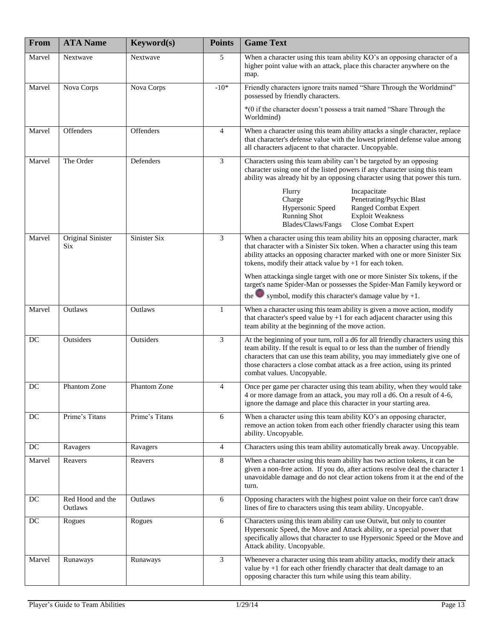| From   | <b>ATA Name</b>                        | Keyword(s)     | <b>Points</b>  | <b>Game Text</b>                                                                                                                                                                                                                                                                                                                                         |
|--------|----------------------------------------|----------------|----------------|----------------------------------------------------------------------------------------------------------------------------------------------------------------------------------------------------------------------------------------------------------------------------------------------------------------------------------------------------------|
| Marvel | Nextwave                               | Nextwave       | 5              | When a character using this team ability KO's an opposing character of a<br>higher point value with an attack, place this character anywhere on the<br>map.                                                                                                                                                                                              |
| Marvel | Nova Corps                             | Nova Corps     | $-10*$         | Friendly characters ignore traits named "Share Through the Worldmind"<br>possessed by friendly characters.                                                                                                                                                                                                                                               |
|        |                                        |                |                | *(0 if the character doesn't possess a trait named "Share Through the<br>Worldmind)                                                                                                                                                                                                                                                                      |
| Marvel | Offenders                              | Offenders      | $\overline{4}$ | When a character using this team ability attacks a single character, replace<br>that character's defense value with the lowest printed defense value among<br>all characters adjacent to that character. Uncopyable.                                                                                                                                     |
| Marvel | The Order                              | Defenders      | 3              | Characters using this team ability can't be targeted by an opposing<br>character using one of the listed powers if any character using this team<br>ability was already hit by an opposing character using that power this turn.                                                                                                                         |
|        |                                        |                |                | Flurry<br>Incapacitate<br>Penetrating/Psychic Blast<br>Charge<br><b>Ranged Combat Expert</b><br>Hypersonic Speed<br><b>Running Shot</b><br><b>Exploit Weakness</b><br>Blades/Claws/Fangs<br>Close Combat Expert                                                                                                                                          |
| Marvel | <b>Original Sinister</b><br><b>Six</b> | Sinister Six   | 3              | When a character using this team ability hits an opposing character, mark<br>that character with a Sinister Six token. When a character using this team<br>ability attacks an opposing character marked with one or more Sinister Six<br>tokens, modify their attack value by $+1$ for each token.                                                       |
|        |                                        |                |                | When attackinga single target with one or more Sinister Six tokens, if the<br>target's name Spider-Man or possesses the Spider-Man Family keyword or<br>symbol, modify this character's damage value by $+1$ .<br>the l                                                                                                                                  |
| Marvel | Outlaws                                | Outlaws        | $\mathbf{1}$   | When a character using this team ability is given a move action, modify<br>that character's speed value by $+1$ for each adjacent character using this<br>team ability at the beginning of the move action.                                                                                                                                              |
| DC     | Outsiders                              | Outsiders      | 3              | At the beginning of your turn, roll a d6 for all friendly characters using this<br>team ability. If the result is equal to or less than the number of friendly<br>characters that can use this team ability, you may immediately give one of<br>those characters a close combat attack as a free action, using its printed<br>combat values. Uncopyable. |
| DC     | Phantom Zone                           | Phantom Zone   | $\overline{4}$ | Once per game per character using this team ability, when they would take<br>4 or more damage from an attack, you may roll a d6. On a result of 4-6,<br>ignore the damage and place this character in your starting area.                                                                                                                                |
| DC     | Prime's Titans                         | Prime's Titans | 6              | When a character using this team ability KO's an opposing character,<br>remove an action token from each other friendly character using this team<br>ability. Uncopyable.                                                                                                                                                                                |
| DC     | Ravagers                               | Ravagers       | $\overline{4}$ | Characters using this team ability automatically break away. Uncopyable.                                                                                                                                                                                                                                                                                 |
| Marvel | Reavers                                | Reavers        | 8              | When a character using this team ability has two action tokens, it can be<br>given a non-free action. If you do, after actions resolve deal the character 1<br>unavoidable damage and do not clear action tokens from it at the end of the<br>turn.                                                                                                      |
| DC     | Red Hood and the<br>Outlaws            | Outlaws        | 6              | Opposing characters with the highest point value on their force can't draw<br>lines of fire to characters using this team ability. Uncopyable.                                                                                                                                                                                                           |
| DC     | Rogues                                 | Rogues         | 6              | Characters using this team ability can use Outwit, but only to counter<br>Hypersonic Speed, the Move and Attack ability, or a special power that<br>specifically allows that character to use Hypersonic Speed or the Move and<br>Attack ability. Uncopyable.                                                                                            |
| Marvel | Runaways                               | Runaways       | $\mathfrak{Z}$ | Whenever a character using this team ability attacks, modify their attack<br>value by $+1$ for each other friendly character that dealt damage to an<br>opposing character this turn while using this team ability.                                                                                                                                      |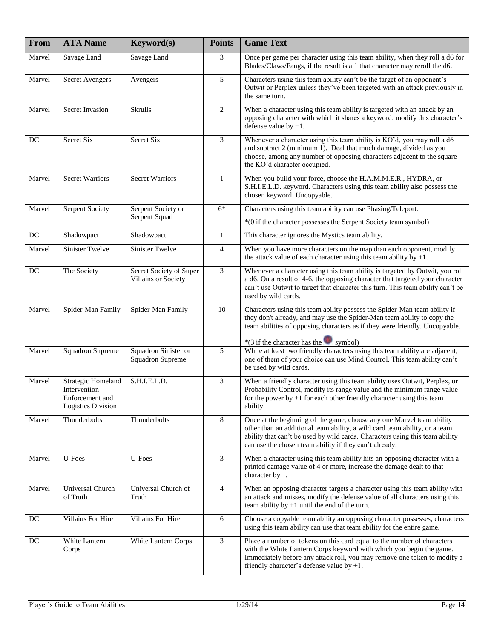| From   | <b>ATA Name</b>                                                                    | Keyword(s)                                      | <b>Points</b>  | <b>Game Text</b>                                                                                                                                                                                                                                                                              |
|--------|------------------------------------------------------------------------------------|-------------------------------------------------|----------------|-----------------------------------------------------------------------------------------------------------------------------------------------------------------------------------------------------------------------------------------------------------------------------------------------|
| Marvel | Savage Land                                                                        | Savage Land                                     | 3              | Once per game per character using this team ability, when they roll a d6 for<br>Blades/Claws/Fangs, if the result is a 1 that character may reroll the d6.                                                                                                                                    |
| Marvel | <b>Secret Avengers</b>                                                             | Avengers                                        | 5              | Characters using this team ability can't be the target of an opponent's<br>Outwit or Perplex unless they've been targeted with an attack previously in<br>the same turn.                                                                                                                      |
| Marvel | Secret Invasion                                                                    | Skrulls                                         | 2              | When a character using this team ability is targeted with an attack by an<br>opposing character with which it shares a keyword, modify this character's<br>defense value by $+1$ .                                                                                                            |
| DC     | Secret Six                                                                         | Secret Six                                      | 3              | Whenever a character using this team ability is KO'd, you may roll a d6<br>and subtract 2 (minimum 1). Deal that much damage, divided as you<br>choose, among any number of opposing characters adjacent to the square<br>the KO'd character occupied.                                        |
| Marvel | <b>Secret Warriors</b>                                                             | <b>Secret Warriors</b>                          | $\mathbf{1}$   | When you build your force, choose the H.A.M.M.E.R., HYDRA, or<br>S.H.I.E.L.D. keyword. Characters using this team ability also possess the<br>chosen keyword. Uncopyable.                                                                                                                     |
| Marvel | <b>Serpent Society</b>                                                             | Serpent Society or                              | $6*$           | Characters using this team ability can use Phasing/Teleport.                                                                                                                                                                                                                                  |
|        |                                                                                    | Serpent Squad                                   |                | *(0 if the character possesses the Serpent Society team symbol)                                                                                                                                                                                                                               |
| DC     | Shadowpact                                                                         | Shadowpact                                      | $\mathbf{1}$   | This character ignores the Mystics team ability.                                                                                                                                                                                                                                              |
| Marvel | Sinister Twelve                                                                    | Sinister Twelve                                 | $\overline{4}$ | When you have more characters on the map than each opponent, modify<br>the attack value of each character using this team ability by $+1$ .                                                                                                                                                   |
| DC     | The Society                                                                        | Secret Society of Super<br>Villains or Society  | 3              | Whenever a character using this team ability is targeted by Outwit, you roll<br>a d6. On a result of 4-6, the opposing character that targeted your character<br>can't use Outwit to target that character this turn. This team ability can't be<br>used by wild cards.                       |
| Marvel | Spider-Man Family                                                                  | Spider-Man Family                               | 10             | Characters using this team ability possess the Spider-Man team ability if<br>they don't already, and may use the Spider-Man team ability to copy the<br>team abilities of opposing characters as if they were friendly. Uncopyable.                                                           |
| Marvel | <b>Squadron Supreme</b>                                                            | Squadron Sinister or<br><b>Squadron Supreme</b> | 5              | *(3 if the character has the symbol)<br>While at least two friendly characters using this team ability are adjacent,<br>one of them of your choice can use Mind Control. This team ability can't<br>be used by wild cards.                                                                    |
| Marvel | Strategic Homeland<br>Intervention<br>Enforcement and<br><b>Logistics Division</b> | S.H.I.E.L.D.                                    | 3              | When a friendly character using this team ability uses Outwit, Perplex, or<br>Probability Control, modify its range value and the minimum range value<br>for the power by $+1$ for each other friendly character using this team<br>ability.                                                  |
| Marvel | Thunderbolts                                                                       | Thunderbolts                                    | 8              | Once at the beginning of the game, choose any one Marvel team ability<br>other than an additional team ability, a wild card team ability, or a team<br>ability that can't be used by wild cards. Characters using this team ability<br>can use the chosen team ability if they can't already. |
| Marvel | U-Foes                                                                             | U-Foes                                          | 3              | When a character using this team ability hits an opposing character with a<br>printed damage value of 4 or more, increase the damage dealt to that<br>character by 1.                                                                                                                         |
| Marvel | Universal Church<br>of Truth                                                       | Universal Church of<br>Truth                    | $\overline{4}$ | When an opposing character targets a character using this team ability with<br>an attack and misses, modify the defense value of all characters using this<br>team ability by $+1$ until the end of the turn.                                                                                 |
| DC     | Villains For Hire                                                                  | Villains For Hire                               | 6              | Choose a copyable team ability an opposing character possesses; characters<br>using this team ability can use that team ability for the entire game.                                                                                                                                          |
| DC     | White Lantern<br>Corps                                                             | White Lantern Corps                             | 3              | Place a number of tokens on this card equal to the number of characters<br>with the White Lantern Corps keyword with which you begin the game.<br>Immediately before any attack roll, you may remove one token to modify a<br>friendly character's defense value by $+1$ .                    |